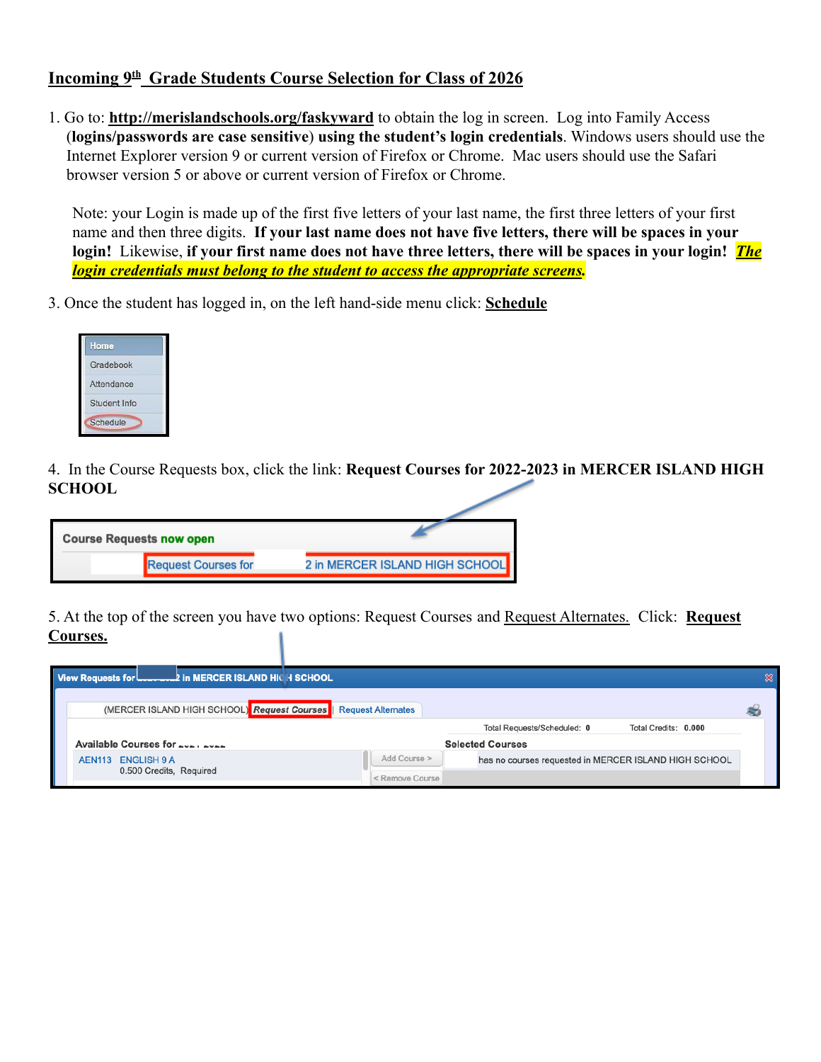## **Incoming 9 th Grade Students Course Selection for Class of 2026**

1. Go to: **http://merislandschools.org/faskyward** to obtain the log in screen. Log into Family Access (**logins/passwords are case sensitive**) **using the student's login credentials**. Windows users should use the Internet Explorer version 9 or current version of Firefox or Chrome. Mac users should use the Safari browser version 5 or above or current version of Firefox or Chrome.

Note: your Login is made up of the first five letters of your last name, the first three letters of your first name and then three digits. **If your last name does not have five letters, there will be spaces in your login!** Likewise, **if your first name does not have three letters, there will be spaces in your login!** *The login credentials must belong to the student to access the appropriate screens.*

3. Once the student has logged in, on the left hand-side menu click: **Schedule**

| Home         |  |
|--------------|--|
| Gradebook    |  |
| Attendance   |  |
| Student Info |  |
| Schedule     |  |

4. In the Course Requests box, click the link: **Request Courses for 2022-2023 in MERCER ISLAND HIGH SCHOOL**

| <b>Course Requests now open</b> |                                |
|---------------------------------|--------------------------------|
| <b>Request Courses for</b>      | 2 in MERCER ISLAND HIGH SCHOOL |

5. At the top of the screen you have two options: Request Courses and Request Alternates. Click: **Request Courses.**

| View Requests for <b>Lower Love 2</b> in MERCER ISLAND HIGH SCHOOL |                           |                                                       |                      |  |
|--------------------------------------------------------------------|---------------------------|-------------------------------------------------------|----------------------|--|
| (MERCER ISLAND HIGH SCHOOL) Request Courses                        | <b>Request Alternates</b> |                                                       |                      |  |
|                                                                    |                           | Total Requests/Scheduled: 0                           | Total Credits: 0.000 |  |
| Available Courses for _________                                    |                           | <b>Selected Courses</b>                               |                      |  |
| AEN113 ENGLISH 9 A                                                 | Add Course >              | has no courses requested in MERCER ISLAND HIGH SCHOOL |                      |  |
| 0.500 Credits, Required                                            | < Remove Course           |                                                       |                      |  |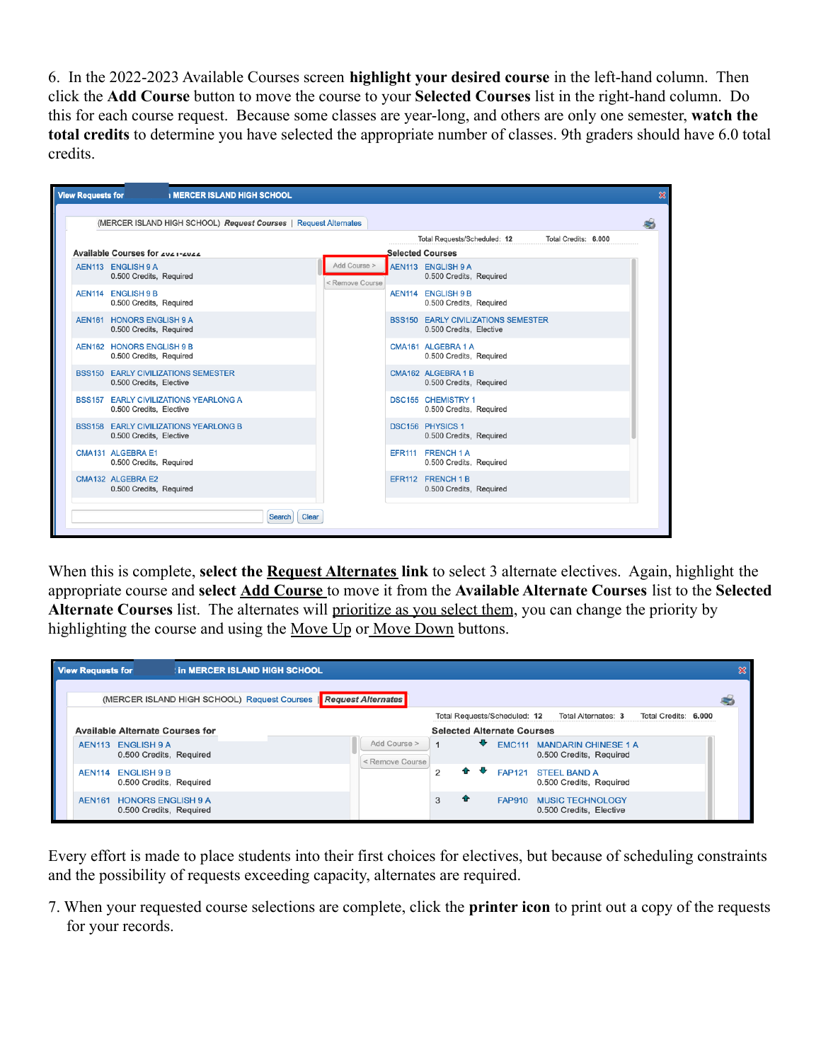6. In the 2022-2023 Available Courses screen **highlight your desired course** in the left-hand column. Then click the **Add Course** button to move the course to your **Selected Courses** list in the right-hand column. Do this for each course request. Because some classes are year-long, and others are only one semester, **watch the total credits** to determine you have selected the appropriate number of classes. 9th graders should have 6.0 total credits.

| <b>View Requests for</b> |                                                      | <b>I MERCER ISLAND HIGH SCHOOL</b>                               |                 |                                 |                                                                       |                      | $\mathbf x$ |
|--------------------------|------------------------------------------------------|------------------------------------------------------------------|-----------------|---------------------------------|-----------------------------------------------------------------------|----------------------|-------------|
|                          |                                                      | (MERCER ISLAND HIGH SCHOOL) Request Courses   Request Alternates |                 |                                 |                                                                       |                      |             |
|                          | Available Courses for zuz 1-zuzz                     |                                                                  |                 |                                 | Total Requests/Scheduled: 12<br>Selected Courses                      | Total Credits: 6.000 |             |
|                          | AEN113 ENGLISH 9 A<br>0.500 Credits, Required        |                                                                  |                 | Add Course ><br>< Remove Course | AEN113 ENGLISH 9 A<br>0.500 Credits, Required                         |                      |             |
|                          | AEN114 ENGLISH 9 B<br>0.500 Credits, Required        |                                                                  |                 |                                 | AEN114 ENGLISH 9 B<br>0.500 Credits, Required                         |                      |             |
|                          | AEN161 HONORS ENGLISH 9 A<br>0.500 Credits, Required |                                                                  |                 |                                 | <b>BSS150 EARLY CIVILIZATIONS SEMESTER</b><br>0.500 Credits, Elective |                      |             |
|                          | AEN162 HONORS ENGLISH 9 B<br>0.500 Credits, Required |                                                                  |                 |                                 | CMA161 ALGEBRA 1 A<br>0.500 Credits, Required                         |                      |             |
|                          | 0.500 Credits, Elective                              | <b>BSS150 EARLY CIVILIZATIONS SEMESTER</b>                       |                 |                                 | CMA162 ALGEBRA 1 B<br>0.500 Credits, Required                         |                      |             |
|                          | 0.500 Credits, Elective                              | <b>BSS157 EARLY CIVILIZATIONS YEARLONG A</b>                     |                 |                                 | <b>DSC155 CHEMISTRY 1</b><br>0.500 Credits, Required                  |                      |             |
|                          | 0.500 Credits, Elective                              | <b>BSS158 EARLY CIVILIZATIONS YEARLONG B</b>                     |                 |                                 | <b>DSC156 PHYSICS 1</b><br>0.500 Credits, Required                    |                      |             |
|                          | CMA131 ALGEBRA E1<br>0.500 Credits, Required         |                                                                  |                 |                                 | EFR111 FRENCH 1 A<br>0.500 Credits, Required                          |                      |             |
|                          | CMA132 ALGEBRA E2<br>0.500 Credits, Required         |                                                                  |                 |                                 | EFR112 FRENCH 1 B<br>0.500 Credits, Required                          |                      |             |
|                          |                                                      |                                                                  | Clear<br>Search |                                 |                                                                       |                      |             |

When this is complete, **select the Request Alternates link** to select 3 alternate electives. Again, highlight the appropriate course and **select Add Course** to move it from the **Available Alternate Courses** list to the **Selected Alternate Courses** list. The alternates will prioritize as you select them, you can change the priority by highlighting the course and using the Move Up or Move Down buttons.

| <b>View Requests for</b>               |                                                                  | <b>In MERCER ISLAND HIGH SCHOOL</b> |  |                                 |                |   |                                   |                                                               |                      |  |
|----------------------------------------|------------------------------------------------------------------|-------------------------------------|--|---------------------------------|----------------|---|-----------------------------------|---------------------------------------------------------------|----------------------|--|
|                                        | (MERCER ISLAND HIGH SCHOOL) Request Courses   Request Alternates |                                     |  |                                 |                |   |                                   |                                                               |                      |  |
|                                        |                                                                  |                                     |  |                                 |                |   | Total Requests/Scheduled: 12      | Total Alternates: 3                                           | Total Credits: 6.000 |  |
| <b>Available Alternate Courses for</b> |                                                                  |                                     |  |                                 |                |   | <b>Selected Alternate Courses</b> |                                                               |                      |  |
| AEN113 ENGLISH 9 A                     | 0.500 Credits, Required                                          |                                     |  | Add Course ><br>< Remove Course |                | ⊕ |                                   | <b>EMC111 MANDARIN CHINESE 1 A</b><br>0.500 Credits, Required |                      |  |
| <b>AEN114</b>                          | <b>ENGLISH 9 B</b><br>0.500 Credits, Required                    |                                     |  |                                 | $\overline{2}$ |   |                                   | FAP121 STEEL BAND A<br>0.500 Credits, Required                |                      |  |
| <b>AEN161</b>                          | <b>HONORS ENGLISH 9 A</b><br>0.500 Credits, Required             |                                     |  |                                 | 3              |   | <b>FAP910</b>                     | <b>MUSIC TECHNOLOGY</b><br>0.500 Credits, Elective            |                      |  |

Every effort is made to place students into their first choices for electives, but because of scheduling constraints and the possibility of requests exceeding capacity, alternates are required.

7. When your requested course selections are complete, click the **printer icon** to print out a copy of the requests for your records.